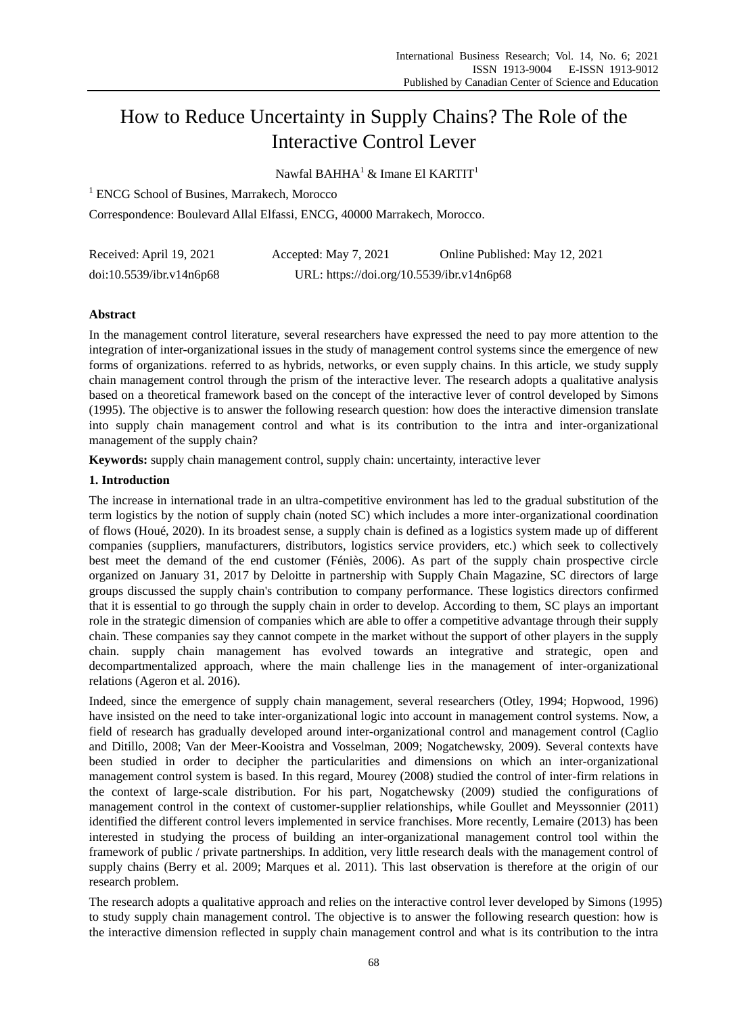# How to Reduce Uncertainty in Supply Chains? The Role of the Interactive Control Lever

Nawfal BAHHA<sup>1</sup> & Imane El KARTIT<sup>1</sup>

<sup>1</sup> ENCG School of Busines, Marrakech, Morocco

Correspondence: Boulevard Allal Elfassi, ENCG, 40000 Marrakech, Morocco.

| Received: April 19, 2021 | Accepted: May 7, 2021                     | Online Published: May 12, 2021 |
|--------------------------|-------------------------------------------|--------------------------------|
| doi:10.5539/ibr.v14n6p68 | URL: https://doi.org/10.5539/ibr.v14n6p68 |                                |

# **Abstract**

In the management control literature, several researchers have expressed the need to pay more attention to the integration of inter-organizational issues in the study of management control systems since the emergence of new forms of organizations. referred to as hybrids, networks, or even supply chains. In this article, we study supply chain management control through the prism of the interactive lever. The research adopts a qualitative analysis based on a theoretical framework based on the concept of the interactive lever of control developed by Simons (1995). The objective is to answer the following research question: how does the interactive dimension translate into supply chain management control and what is its contribution to the intra and inter-organizational management of the supply chain?

**Keywords:** supply chain management control, supply chain: uncertainty, interactive lever

# **1. Introduction**

The increase in international trade in an ultra-competitive environment has led to the gradual substitution of the term logistics by the notion of supply chain (noted SC) which includes a more inter-organizational coordination of flows (Houé, 2020). In its broadest sense, a supply chain is defined as a logistics system made up of different companies (suppliers, manufacturers, distributors, logistics service providers, etc.) which seek to collectively best meet the demand of the end customer (Féniès, 2006). As part of the supply chain prospective circle organized on January 31, 2017 by Deloitte in partnership with Supply Chain Magazine, SC directors of large groups discussed the supply chain's contribution to company performance. These logistics directors confirmed that it is essential to go through the supply chain in order to develop. According to them, SC plays an important role in the strategic dimension of companies which are able to offer a competitive advantage through their supply chain. These companies say they cannot compete in the market without the support of other players in the supply chain. supply chain management has evolved towards an integrative and strategic, open and decompartmentalized approach, where the main challenge lies in the management of inter-organizational relations (Ageron et al. 2016).

Indeed, since the emergence of supply chain management, several researchers (Otley, 1994; Hopwood, 1996) have insisted on the need to take inter-organizational logic into account in management control systems. Now, a field of research has gradually developed around inter-organizational control and management control (Caglio and Ditillo, 2008; Van der Meer-Kooistra and Vosselman, 2009; Nogatchewsky, 2009). Several contexts have been studied in order to decipher the particularities and dimensions on which an inter-organizational management control system is based. In this regard, Mourey (2008) studied the control of inter-firm relations in the context of large-scale distribution. For his part, Nogatchewsky (2009) studied the configurations of management control in the context of customer-supplier relationships, while Goullet and Meyssonnier (2011) identified the different control levers implemented in service franchises. More recently, Lemaire (2013) has been interested in studying the process of building an inter-organizational management control tool within the framework of public / private partnerships. In addition, very little research deals with the management control of supply chains (Berry et al. 2009; Marques et al. 2011). This last observation is therefore at the origin of our research problem.

The research adopts a qualitative approach and relies on the interactive control lever developed by Simons (1995) to study supply chain management control. The objective is to answer the following research question: how is the interactive dimension reflected in supply chain management control and what is its contribution to the intra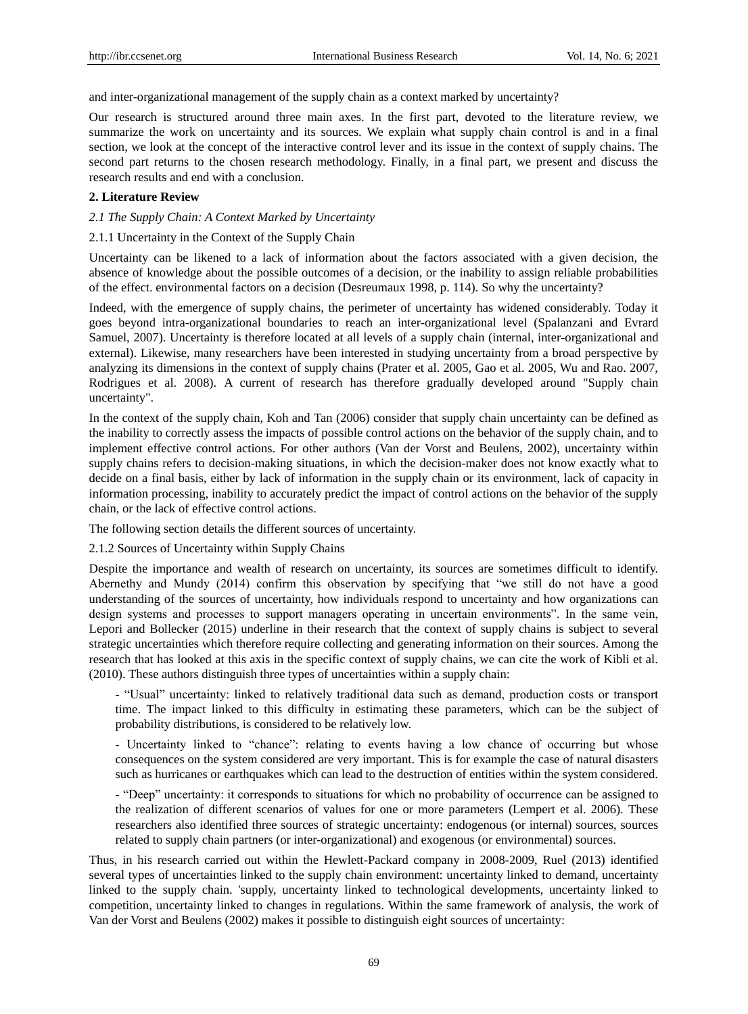and inter-organizational management of the supply chain as a context marked by uncertainty?

Our research is structured around three main axes. In the first part, devoted to the literature review, we summarize the work on uncertainty and its sources. We explain what supply chain control is and in a final section, we look at the concept of the interactive control lever and its issue in the context of supply chains. The second part returns to the chosen research methodology. Finally, in a final part, we present and discuss the research results and end with a conclusion.

## **2. Literature Review**

#### *2.1 The Supply Chain: A Context Marked by Uncertainty*

#### 2.1.1 Uncertainty in the Context of the Supply Chain

Uncertainty can be likened to a lack of information about the factors associated with a given decision, the absence of knowledge about the possible outcomes of a decision, or the inability to assign reliable probabilities of the effect. environmental factors on a decision (Desreumaux 1998, p. 114). So why the uncertainty?

Indeed, with the emergence of supply chains, the perimeter of uncertainty has widened considerably. Today it goes beyond intra-organizational boundaries to reach an inter-organizational level (Spalanzani and Evrard Samuel, 2007). Uncertainty is therefore located at all levels of a supply chain (internal, inter-organizational and external). Likewise, many researchers have been interested in studying uncertainty from a broad perspective by analyzing its dimensions in the context of supply chains (Prater et al. 2005, Gao et al. 2005, Wu and Rao. 2007, Rodrigues et al. 2008). A current of research has therefore gradually developed around "Supply chain uncertainty".

In the context of the supply chain, Koh and Tan (2006) consider that supply chain uncertainty can be defined as the inability to correctly assess the impacts of possible control actions on the behavior of the supply chain, and to implement effective control actions. For other authors (Van der Vorst and Beulens, 2002), uncertainty within supply chains refers to decision-making situations, in which the decision-maker does not know exactly what to decide on a final basis, either by lack of information in the supply chain or its environment, lack of capacity in information processing, inability to accurately predict the impact of control actions on the behavior of the supply chain, or the lack of effective control actions.

The following section details the different sources of uncertainty.

2.1.2 Sources of Uncertainty within Supply Chains

Despite the importance and wealth of research on uncertainty, its sources are sometimes difficult to identify. Abernethy and Mundy (2014) confirm this observation by specifying that "we still do not have a good understanding of the sources of uncertainty, how individuals respond to uncertainty and how organizations can design systems and processes to support managers operating in uncertain environments". In the same vein, Lepori and Bollecker (2015) underline in their research that the context of supply chains is subject to several strategic uncertainties which therefore require collecting and generating information on their sources. Among the research that has looked at this axis in the specific context of supply chains, we can cite the work of Kibli et al. (2010). These authors distinguish three types of uncertainties within a supply chain:

- "Usual" uncertainty: linked to relatively traditional data such as demand, production costs or transport time. The impact linked to this difficulty in estimating these parameters, which can be the subject of probability distributions, is considered to be relatively low.

- Uncertainty linked to "chance": relating to events having a low chance of occurring but whose consequences on the system considered are very important. This is for example the case of natural disasters such as hurricanes or earthquakes which can lead to the destruction of entities within the system considered.

- "Deep" uncertainty: it corresponds to situations for which no probability of occurrence can be assigned to the realization of different scenarios of values for one or more parameters (Lempert et al. 2006). These researchers also identified three sources of strategic uncertainty: endogenous (or internal) sources, sources related to supply chain partners (or inter-organizational) and exogenous (or environmental) sources.

Thus, in his research carried out within the Hewlett-Packard company in 2008-2009, Ruel (2013) identified several types of uncertainties linked to the supply chain environment: uncertainty linked to demand, uncertainty linked to the supply chain. 'supply, uncertainty linked to technological developments, uncertainty linked to competition, uncertainty linked to changes in regulations. Within the same framework of analysis, the work of Van der Vorst and Beulens (2002) makes it possible to distinguish eight sources of uncertainty: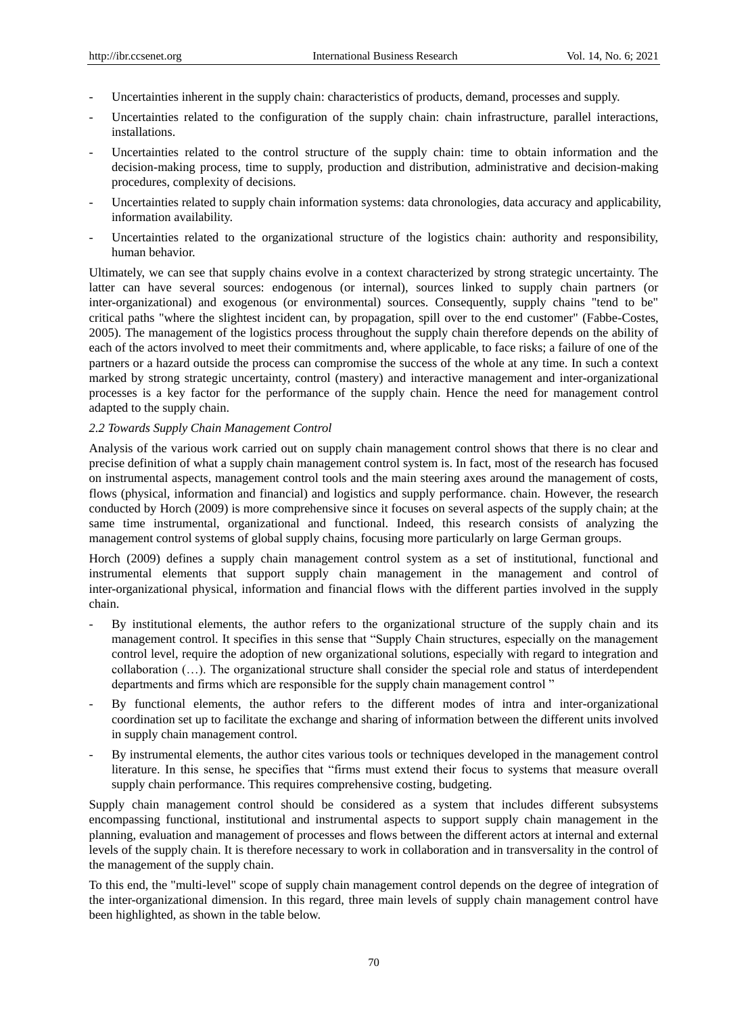- Uncertainties inherent in the supply chain: characteristics of products, demand, processes and supply.
- Uncertainties related to the configuration of the supply chain: chain infrastructure, parallel interactions, installations.
- Uncertainties related to the control structure of the supply chain: time to obtain information and the decision-making process, time to supply, production and distribution, administrative and decision-making procedures, complexity of decisions.
- Uncertainties related to supply chain information systems: data chronologies, data accuracy and applicability, information availability.
- Uncertainties related to the organizational structure of the logistics chain: authority and responsibility, human behavior.

Ultimately, we can see that supply chains evolve in a context characterized by strong strategic uncertainty. The latter can have several sources: endogenous (or internal), sources linked to supply chain partners (or inter-organizational) and exogenous (or environmental) sources. Consequently, supply chains "tend to be" critical paths "where the slightest incident can, by propagation, spill over to the end customer" (Fabbe-Costes, 2005). The management of the logistics process throughout the supply chain therefore depends on the ability of each of the actors involved to meet their commitments and, where applicable, to face risks; a failure of one of the partners or a hazard outside the process can compromise the success of the whole at any time. In such a context marked by strong strategic uncertainty, control (mastery) and interactive management and inter-organizational processes is a key factor for the performance of the supply chain. Hence the need for management control adapted to the supply chain.

## *2.2 Towards Supply Chain Management Control*

Analysis of the various work carried out on supply chain management control shows that there is no clear and precise definition of what a supply chain management control system is. In fact, most of the research has focused on instrumental aspects, management control tools and the main steering axes around the management of costs, flows (physical, information and financial) and logistics and supply performance. chain. However, the research conducted by Horch (2009) is more comprehensive since it focuses on several aspects of the supply chain; at the same time instrumental, organizational and functional. Indeed, this research consists of analyzing the management control systems of global supply chains, focusing more particularly on large German groups.

Horch (2009) defines a supply chain management control system as a set of institutional, functional and instrumental elements that support supply chain management in the management and control of inter-organizational physical, information and financial flows with the different parties involved in the supply chain.

- By institutional elements, the author refers to the organizational structure of the supply chain and its management control. It specifies in this sense that "Supply Chain structures, especially on the management control level, require the adoption of new organizational solutions, especially with regard to integration and collaboration (…). The organizational structure shall consider the special role and status of interdependent departments and firms which are responsible for the supply chain management control "
- By functional elements, the author refers to the different modes of intra and inter-organizational coordination set up to facilitate the exchange and sharing of information between the different units involved in supply chain management control.
- By instrumental elements, the author cites various tools or techniques developed in the management control literature. In this sense, he specifies that "firms must extend their focus to systems that measure overall supply chain performance. This requires comprehensive costing, budgeting.

Supply chain management control should be considered as a system that includes different subsystems encompassing functional, institutional and instrumental aspects to support supply chain management in the planning, evaluation and management of processes and flows between the different actors at internal and external levels of the supply chain. It is therefore necessary to work in collaboration and in transversality in the control of the management of the supply chain.

To this end, the "multi-level" scope of supply chain management control depends on the degree of integration of the inter-organizational dimension. In this regard, three main levels of supply chain management control have been highlighted, as shown in the table below.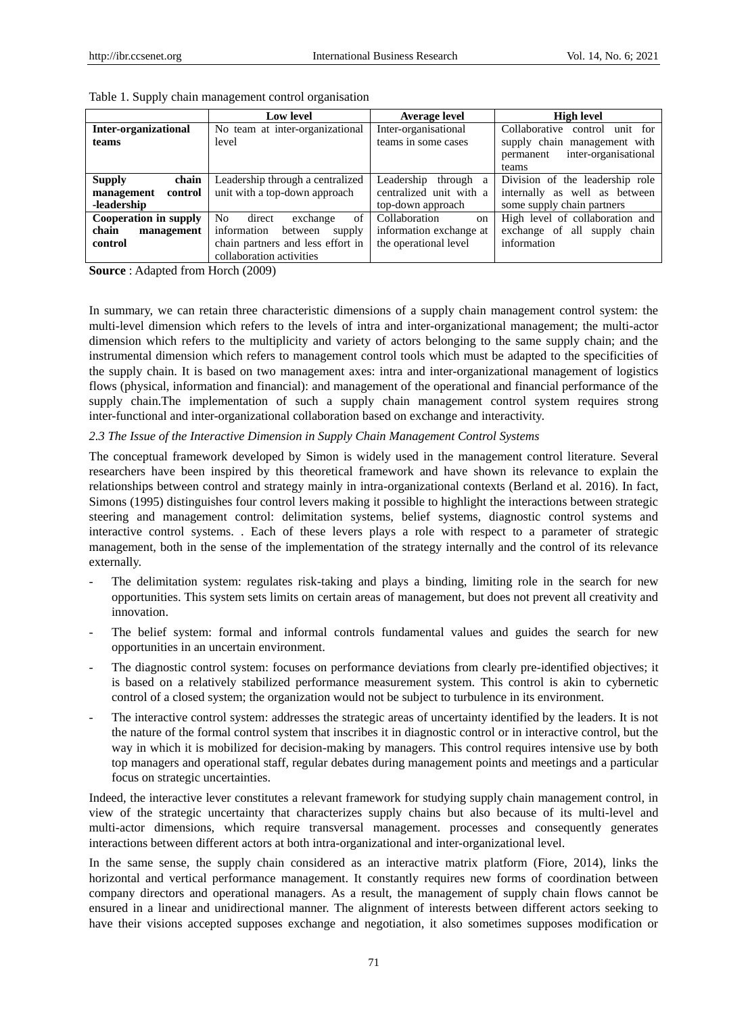|                             | <b>Low level</b>                           | <b>Average level</b>         | <b>High level</b>                 |
|-----------------------------|--------------------------------------------|------------------------------|-----------------------------------|
| <b>Inter-organizational</b> | No team at inter-organizational            | Inter-organisational         | Collaborative control unit for    |
| teams                       | level                                      | teams in some cases          | supply chain management with      |
|                             |                                            |                              | inter-organisational<br>permanent |
|                             |                                            |                              | teams                             |
| chain<br><b>Supply</b>      | Leadership through a centralized           | Leadership<br>through a      | Division of the leadership role   |
| management<br>control       | unit with a top-down approach              | centralized unit with a      | internally as well as between     |
| -leadership                 |                                            | top-down approach            | some supply chain partners        |
| Cooperation in supply       | of<br>N <sub>o</sub><br>direct<br>exchange | Collaboration<br>$_{\rm on}$ | High level of collaboration and   |
| chain<br>management         | information<br>between<br>supply           | information exchange at      | exchange of all supply chain      |
| control                     | chain partners and less effort in          | the operational level        | information                       |
|                             | collaboration activities                   |                              |                                   |

**Source** : Adapted from Horch (2009)

In summary, we can retain three characteristic dimensions of a supply chain management control system: the multi-level dimension which refers to the levels of intra and inter-organizational management; the multi-actor dimension which refers to the multiplicity and variety of actors belonging to the same supply chain; and the instrumental dimension which refers to management control tools which must be adapted to the specificities of the supply chain. It is based on two management axes: intra and inter-organizational management of logistics flows (physical, information and financial): and management of the operational and financial performance of the supply chain.The implementation of such a supply chain management control system requires strong inter-functional and inter-organizational collaboration based on exchange and interactivity.

## *2.3 The Issue of the Interactive Dimension in Supply Chain Management Control Systems*

The conceptual framework developed by Simon is widely used in the management control literature. Several researchers have been inspired by this theoretical framework and have shown its relevance to explain the relationships between control and strategy mainly in intra-organizational contexts (Berland et al. 2016). In fact, Simons (1995) distinguishes four control levers making it possible to highlight the interactions between strategic steering and management control: delimitation systems, belief systems, diagnostic control systems and interactive control systems. . Each of these levers plays a role with respect to a parameter of strategic management, both in the sense of the implementation of the strategy internally and the control of its relevance externally.

- The delimitation system: regulates risk-taking and plays a binding, limiting role in the search for new opportunities. This system sets limits on certain areas of management, but does not prevent all creativity and innovation.
- The belief system: formal and informal controls fundamental values and guides the search for new opportunities in an uncertain environment.
- The diagnostic control system: focuses on performance deviations from clearly pre-identified objectives; it is based on a relatively stabilized performance measurement system. This control is akin to cybernetic control of a closed system; the organization would not be subject to turbulence in its environment.
- The interactive control system: addresses the strategic areas of uncertainty identified by the leaders. It is not the nature of the formal control system that inscribes it in diagnostic control or in interactive control, but the way in which it is mobilized for decision-making by managers. This control requires intensive use by both top managers and operational staff, regular debates during management points and meetings and a particular focus on strategic uncertainties.

Indeed, the interactive lever constitutes a relevant framework for studying supply chain management control, in view of the strategic uncertainty that characterizes supply chains but also because of its multi-level and multi-actor dimensions, which require transversal management. processes and consequently generates interactions between different actors at both intra-organizational and inter-organizational level.

In the same sense, the supply chain considered as an interactive matrix platform (Fiore, 2014), links the horizontal and vertical performance management. It constantly requires new forms of coordination between company directors and operational managers. As a result, the management of supply chain flows cannot be ensured in a linear and unidirectional manner. The alignment of interests between different actors seeking to have their visions accepted supposes exchange and negotiation, it also sometimes supposes modification or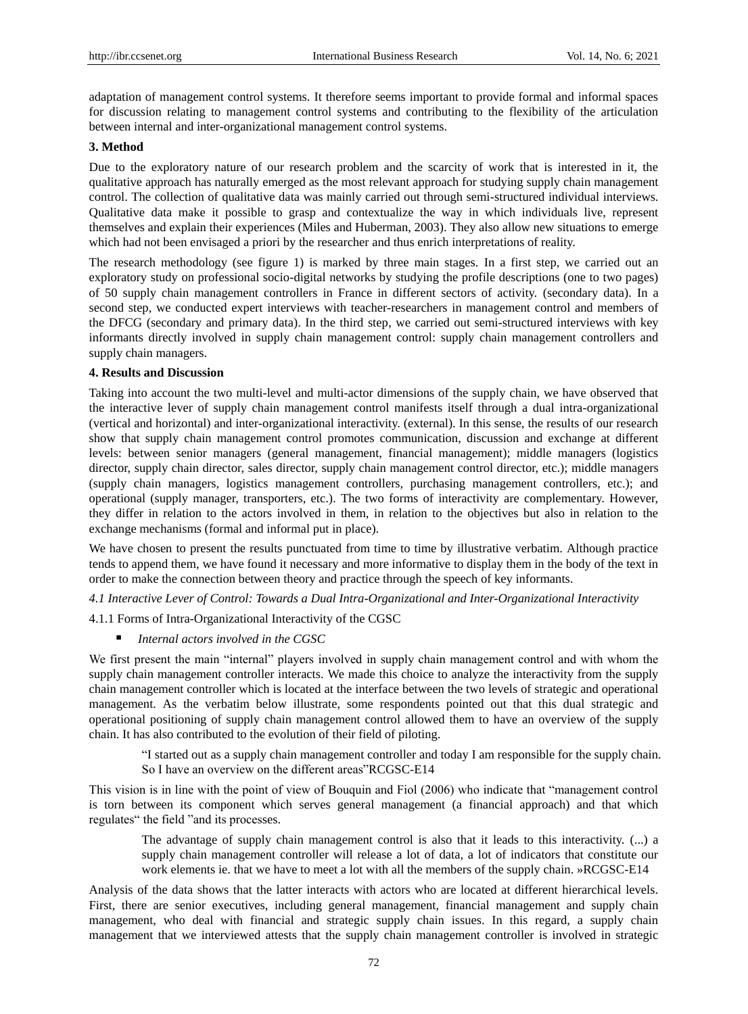adaptation of management control systems. It therefore seems important to provide formal and informal spaces for discussion relating to management control systems and contributing to the flexibility of the articulation between internal and inter-organizational management control systems.

#### **3. Method**

Due to the exploratory nature of our research problem and the scarcity of work that is interested in it, the qualitative approach has naturally emerged as the most relevant approach for studying supply chain management control. The collection of qualitative data was mainly carried out through semi-structured individual interviews. Qualitative data make it possible to grasp and contextualize the way in which individuals live, represent themselves and explain their experiences (Miles and Huberman, 2003). They also allow new situations to emerge which had not been envisaged a priori by the researcher and thus enrich interpretations of reality.

The research methodology (see figure 1) is marked by three main stages. In a first step, we carried out an exploratory study on professional socio-digital networks by studying the profile descriptions (one to two pages) of 50 supply chain management controllers in France in different sectors of activity. (secondary data). In a second step, we conducted expert interviews with teacher-researchers in management control and members of the DFCG (secondary and primary data). In the third step, we carried out semi-structured interviews with key informants directly involved in supply chain management control: supply chain management controllers and supply chain managers.

## **4. Results and Discussion**

Taking into account the two multi-level and multi-actor dimensions of the supply chain, we have observed that the interactive lever of supply chain management control manifests itself through a dual intra-organizational (vertical and horizontal) and inter-organizational interactivity. (external). In this sense, the results of our research show that supply chain management control promotes communication, discussion and exchange at different levels: between senior managers (general management, financial management); middle managers (logistics director, supply chain director, sales director, supply chain management control director, etc.); middle managers (supply chain managers, logistics management controllers, purchasing management controllers, etc.); and operational (supply manager, transporters, etc.). The two forms of interactivity are complementary. However, they differ in relation to the actors involved in them, in relation to the objectives but also in relation to the exchange mechanisms (formal and informal put in place).

We have chosen to present the results punctuated from time to time by illustrative verbatim. Although practice tends to append them, we have found it necessary and more informative to display them in the body of the text in order to make the connection between theory and practice through the speech of key informants.

*4.1 Interactive Lever of Control: Towards a Dual Intra-Organizational and Inter-Organizational Interactivity*

4.1.1 Forms of Intra-Organizational Interactivity of the CGSC

*Internal actors involved in the CGSC*

We first present the main "internal" players involved in supply chain management control and with whom the supply chain management controller interacts. We made this choice to analyze the interactivity from the supply chain management controller which is located at the interface between the two levels of strategic and operational management. As the verbatim below illustrate, some respondents pointed out that this dual strategic and operational positioning of supply chain management control allowed them to have an overview of the supply chain. It has also contributed to the evolution of their field of piloting.

"I started out as a supply chain management controller and today I am responsible for the supply chain. So I have an overview on the different areas"RCGSC-E14

This vision is in line with the point of view of Bouquin and Fiol (2006) who indicate that "management control is torn between its component which serves general management (a financial approach) and that which regulates" the field "and its processes.

The advantage of supply chain management control is also that it leads to this interactivity. (...) a supply chain management controller will release a lot of data, a lot of indicators that constitute our work elements ie. that we have to meet a lot with all the members of the supply chain. »RCGSC-E14

Analysis of the data shows that the latter interacts with actors who are located at different hierarchical levels. First, there are senior executives, including general management, financial management and supply chain management, who deal with financial and strategic supply chain issues. In this regard, a supply chain management that we interviewed attests that the supply chain management controller is involved in strategic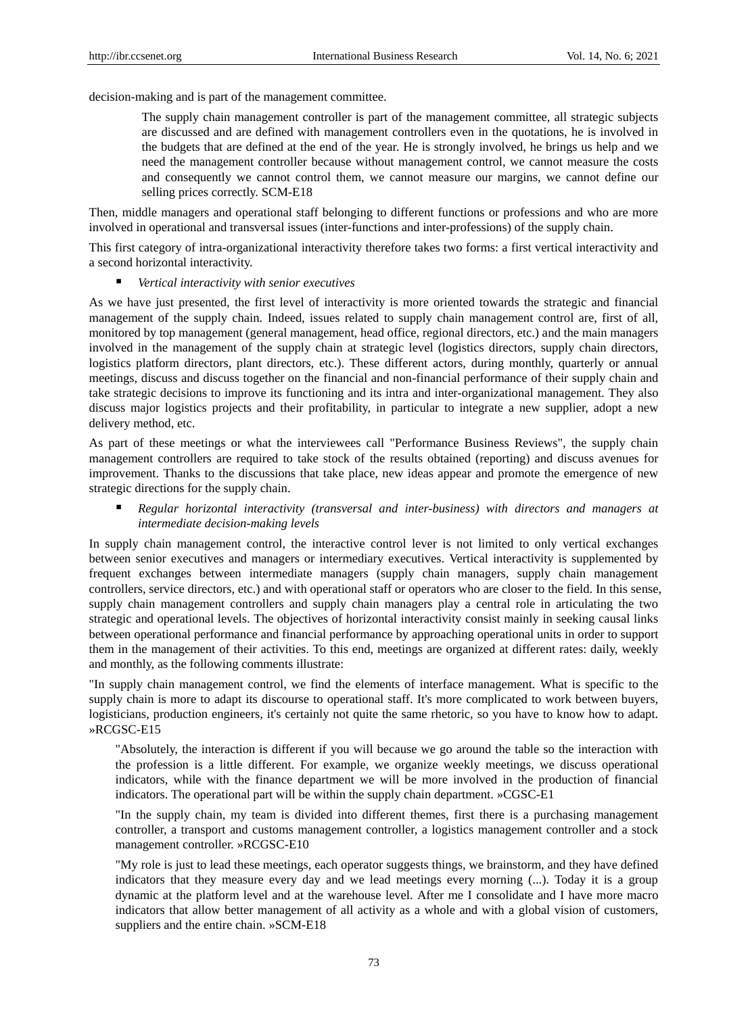decision-making and is part of the management committee.

The supply chain management controller is part of the management committee, all strategic subjects are discussed and are defined with management controllers even in the quotations, he is involved in the budgets that are defined at the end of the year. He is strongly involved, he brings us help and we need the management controller because without management control, we cannot measure the costs and consequently we cannot control them, we cannot measure our margins, we cannot define our selling prices correctly. SCM-E18

Then, middle managers and operational staff belonging to different functions or professions and who are more involved in operational and transversal issues (inter-functions and inter-professions) of the supply chain.

This first category of intra-organizational interactivity therefore takes two forms: a first vertical interactivity and a second horizontal interactivity.

*Vertical interactivity with senior executives*

As we have just presented, the first level of interactivity is more oriented towards the strategic and financial management of the supply chain. Indeed, issues related to supply chain management control are, first of all, monitored by top management (general management, head office, regional directors, etc.) and the main managers involved in the management of the supply chain at strategic level (logistics directors, supply chain directors, logistics platform directors, plant directors, etc.). These different actors, during monthly, quarterly or annual meetings, discuss and discuss together on the financial and non-financial performance of their supply chain and take strategic decisions to improve its functioning and its intra and inter-organizational management. They also discuss major logistics projects and their profitability, in particular to integrate a new supplier, adopt a new delivery method, etc.

As part of these meetings or what the interviewees call "Performance Business Reviews", the supply chain management controllers are required to take stock of the results obtained (reporting) and discuss avenues for improvement. Thanks to the discussions that take place, new ideas appear and promote the emergence of new strategic directions for the supply chain.

 *Regular horizontal interactivity (transversal and inter-business) with directors and managers at intermediate decision-making levels*

In supply chain management control, the interactive control lever is not limited to only vertical exchanges between senior executives and managers or intermediary executives. Vertical interactivity is supplemented by frequent exchanges between intermediate managers (supply chain managers, supply chain management controllers, service directors, etc.) and with operational staff or operators who are closer to the field. In this sense, supply chain management controllers and supply chain managers play a central role in articulating the two strategic and operational levels. The objectives of horizontal interactivity consist mainly in seeking causal links between operational performance and financial performance by approaching operational units in order to support them in the management of their activities. To this end, meetings are organized at different rates: daily, weekly and monthly, as the following comments illustrate:

"In supply chain management control, we find the elements of interface management. What is specific to the supply chain is more to adapt its discourse to operational staff. It's more complicated to work between buyers, logisticians, production engineers, it's certainly not quite the same rhetoric, so you have to know how to adapt. »RCGSC-E15

"Absolutely, the interaction is different if you will because we go around the table so the interaction with the profession is a little different. For example, we organize weekly meetings, we discuss operational indicators, while with the finance department we will be more involved in the production of financial indicators. The operational part will be within the supply chain department. »CGSC-E1

"In the supply chain, my team is divided into different themes, first there is a purchasing management controller, a transport and customs management controller, a logistics management controller and a stock management controller. »RCGSC-E10

"My role is just to lead these meetings, each operator suggests things, we brainstorm, and they have defined indicators that they measure every day and we lead meetings every morning (...). Today it is a group dynamic at the platform level and at the warehouse level. After me I consolidate and I have more macro indicators that allow better management of all activity as a whole and with a global vision of customers, suppliers and the entire chain. »SCM-E18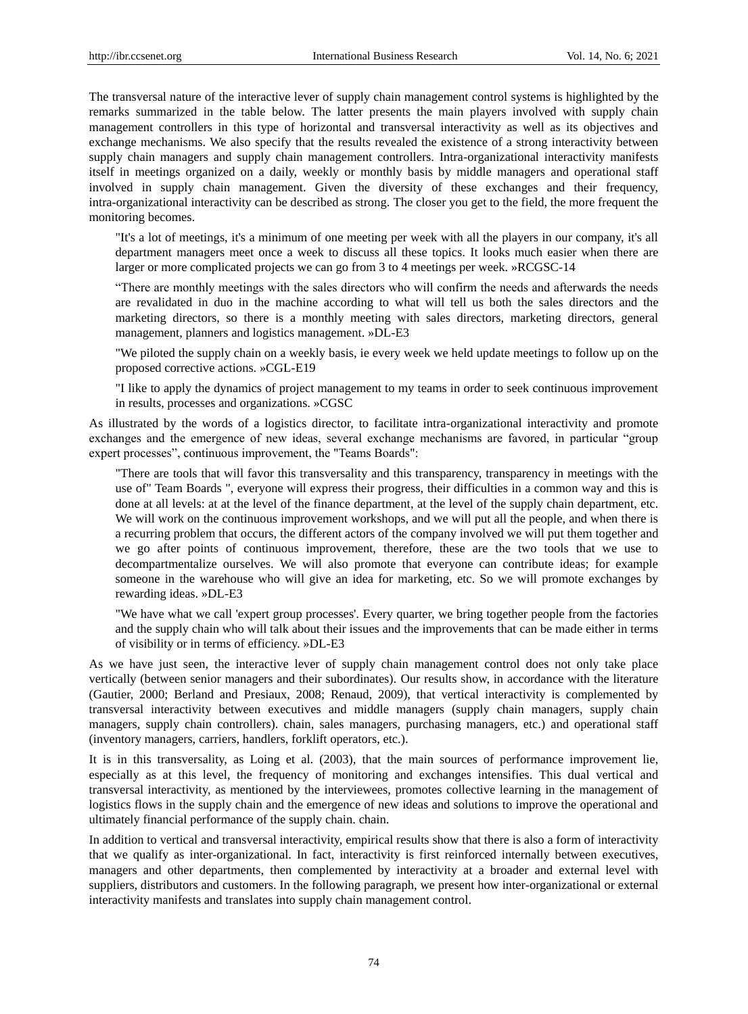The transversal nature of the interactive lever of supply chain management control systems is highlighted by the remarks summarized in the table below. The latter presents the main players involved with supply chain management controllers in this type of horizontal and transversal interactivity as well as its objectives and exchange mechanisms. We also specify that the results revealed the existence of a strong interactivity between supply chain managers and supply chain management controllers. Intra-organizational interactivity manifests itself in meetings organized on a daily, weekly or monthly basis by middle managers and operational staff involved in supply chain management. Given the diversity of these exchanges and their frequency, intra-organizational interactivity can be described as strong. The closer you get to the field, the more frequent the monitoring becomes.

"It's a lot of meetings, it's a minimum of one meeting per week with all the players in our company, it's all department managers meet once a week to discuss all these topics. It looks much easier when there are larger or more complicated projects we can go from 3 to 4 meetings per week. »RCGSC-14

"There are monthly meetings with the sales directors who will confirm the needs and afterwards the needs are revalidated in duo in the machine according to what will tell us both the sales directors and the marketing directors, so there is a monthly meeting with sales directors, marketing directors, general management, planners and logistics management. »DL-E3

"We piloted the supply chain on a weekly basis, ie every week we held update meetings to follow up on the proposed corrective actions. »CGL-E19

"I like to apply the dynamics of project management to my teams in order to seek continuous improvement in results, processes and organizations. »CGSC

As illustrated by the words of a logistics director, to facilitate intra-organizational interactivity and promote exchanges and the emergence of new ideas, several exchange mechanisms are favored, in particular "group expert processes", continuous improvement, the "Teams Boards":

"There are tools that will favor this transversality and this transparency, transparency in meetings with the use of" Team Boards ", everyone will express their progress, their difficulties in a common way and this is done at all levels: at at the level of the finance department, at the level of the supply chain department, etc. We will work on the continuous improvement workshops, and we will put all the people, and when there is a recurring problem that occurs, the different actors of the company involved we will put them together and we go after points of continuous improvement, therefore, these are the two tools that we use to decompartmentalize ourselves. We will also promote that everyone can contribute ideas; for example someone in the warehouse who will give an idea for marketing, etc. So we will promote exchanges by rewarding ideas. »DL-E3

"We have what we call 'expert group processes'. Every quarter, we bring together people from the factories and the supply chain who will talk about their issues and the improvements that can be made either in terms of visibility or in terms of efficiency. »DL-E3

As we have just seen, the interactive lever of supply chain management control does not only take place vertically (between senior managers and their subordinates). Our results show, in accordance with the literature (Gautier, 2000; Berland and Presiaux, 2008; Renaud, 2009), that vertical interactivity is complemented by transversal interactivity between executives and middle managers (supply chain managers, supply chain managers, supply chain controllers). chain, sales managers, purchasing managers, etc.) and operational staff (inventory managers, carriers, handlers, forklift operators, etc.).

It is in this transversality, as Loing et al. (2003), that the main sources of performance improvement lie, especially as at this level, the frequency of monitoring and exchanges intensifies. This dual vertical and transversal interactivity, as mentioned by the interviewees, promotes collective learning in the management of logistics flows in the supply chain and the emergence of new ideas and solutions to improve the operational and ultimately financial performance of the supply chain. chain.

In addition to vertical and transversal interactivity, empirical results show that there is also a form of interactivity that we qualify as inter-organizational. In fact, interactivity is first reinforced internally between executives, managers and other departments, then complemented by interactivity at a broader and external level with suppliers, distributors and customers. In the following paragraph, we present how inter-organizational or external interactivity manifests and translates into supply chain management control.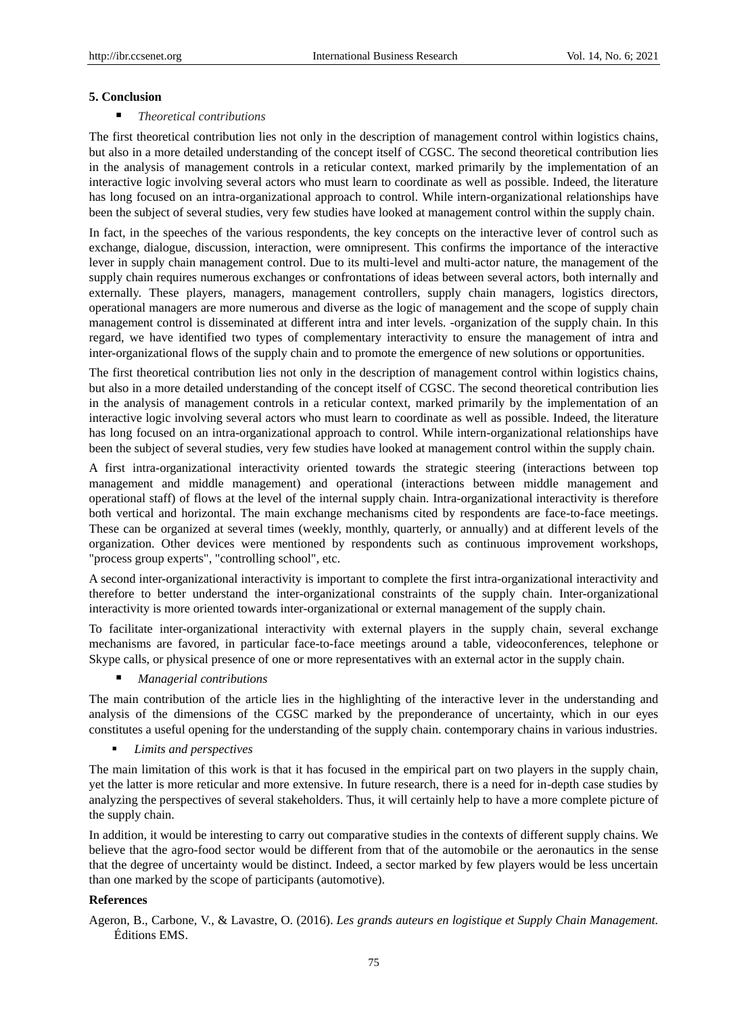### **5. Conclusion**

## *Theoretical contributions*

The first theoretical contribution lies not only in the description of management control within logistics chains, but also in a more detailed understanding of the concept itself of CGSC. The second theoretical contribution lies in the analysis of management controls in a reticular context, marked primarily by the implementation of an interactive logic involving several actors who must learn to coordinate as well as possible. Indeed, the literature has long focused on an intra-organizational approach to control. While intern-organizational relationships have been the subject of several studies, very few studies have looked at management control within the supply chain.

In fact, in the speeches of the various respondents, the key concepts on the interactive lever of control such as exchange, dialogue, discussion, interaction, were omnipresent. This confirms the importance of the interactive lever in supply chain management control. Due to its multi-level and multi-actor nature, the management of the supply chain requires numerous exchanges or confrontations of ideas between several actors, both internally and externally. These players, managers, management controllers, supply chain managers, logistics directors, operational managers are more numerous and diverse as the logic of management and the scope of supply chain management control is disseminated at different intra and inter levels. -organization of the supply chain. In this regard, we have identified two types of complementary interactivity to ensure the management of intra and inter-organizational flows of the supply chain and to promote the emergence of new solutions or opportunities.

The first theoretical contribution lies not only in the description of management control within logistics chains, but also in a more detailed understanding of the concept itself of CGSC. The second theoretical contribution lies in the analysis of management controls in a reticular context, marked primarily by the implementation of an interactive logic involving several actors who must learn to coordinate as well as possible. Indeed, the literature has long focused on an intra-organizational approach to control. While intern-organizational relationships have been the subject of several studies, very few studies have looked at management control within the supply chain.

A first intra-organizational interactivity oriented towards the strategic steering (interactions between top management and middle management) and operational (interactions between middle management and operational staff) of flows at the level of the internal supply chain. Intra-organizational interactivity is therefore both vertical and horizontal. The main exchange mechanisms cited by respondents are face-to-face meetings. These can be organized at several times (weekly, monthly, quarterly, or annually) and at different levels of the organization. Other devices were mentioned by respondents such as continuous improvement workshops, "process group experts", "controlling school", etc.

A second inter-organizational interactivity is important to complete the first intra-organizational interactivity and therefore to better understand the inter-organizational constraints of the supply chain. Inter-organizational interactivity is more oriented towards inter-organizational or external management of the supply chain.

To facilitate inter-organizational interactivity with external players in the supply chain, several exchange mechanisms are favored, in particular face-to-face meetings around a table, videoconferences, telephone or Skype calls, or physical presence of one or more representatives with an external actor in the supply chain.

*Managerial contributions*

The main contribution of the article lies in the highlighting of the interactive lever in the understanding and analysis of the dimensions of the CGSC marked by the preponderance of uncertainty, which in our eyes constitutes a useful opening for the understanding of the supply chain. contemporary chains in various industries.

*Limits and perspectives*

The main limitation of this work is that it has focused in the empirical part on two players in the supply chain, yet the latter is more reticular and more extensive. In future research, there is a need for in-depth case studies by analyzing the perspectives of several stakeholders. Thus, it will certainly help to have a more complete picture of the supply chain.

In addition, it would be interesting to carry out comparative studies in the contexts of different supply chains. We believe that the agro-food sector would be different from that of the automobile or the aeronautics in the sense that the degree of uncertainty would be distinct. Indeed, a sector marked by few players would be less uncertain than one marked by the scope of participants (automotive).

## **References**

Ageron, B., Carbone, V., & Lavastre, O. (2016). *Les grands auteurs en logistique et Supply Chain Management.*  Éditions EMS.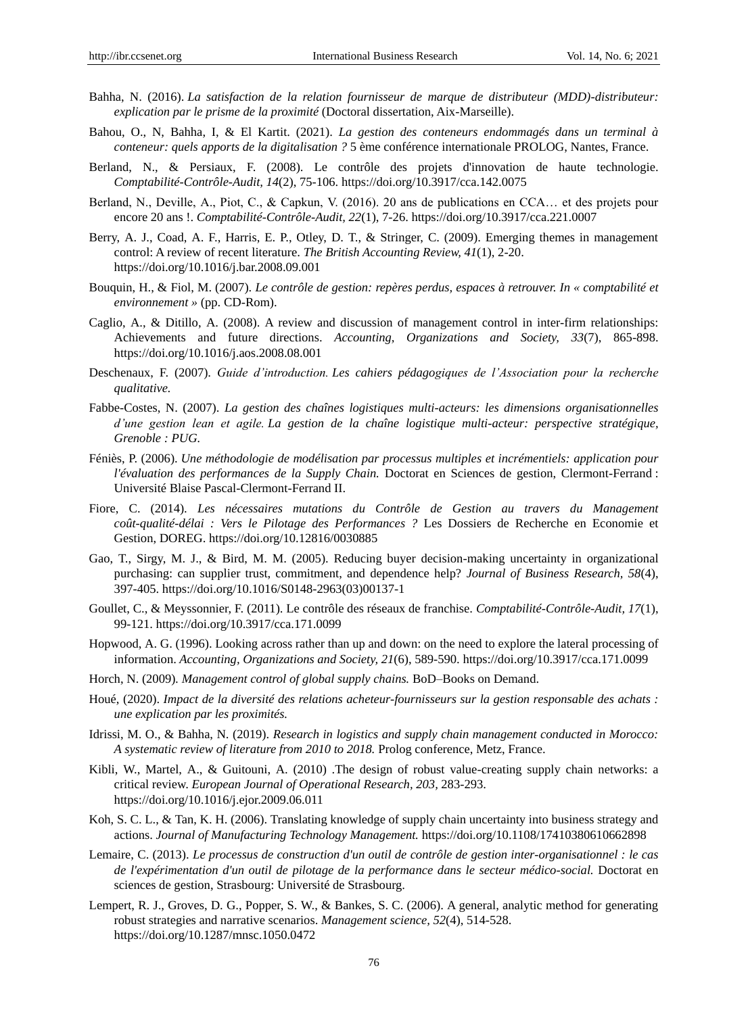- Bahha, N. (2016). *La satisfaction de la relation fournisseur de marque de distributeur (MDD)-distributeur: explication par le prisme de la proximité*(Doctoral dissertation, Aix-Marseille).
- Bahou, O., N, Bahha, I, & El Kartit. (2021). *La gestion des conteneurs endommagés dans un terminal à conteneur: quels apports de la digitalisation ?* 5 ème conférence internationale PROLOG, Nantes, France.
- Berland, N., & Persiaux, F. (2008). Le contrôle des projets d'innovation de haute technologie. *Comptabilité-Contrôle-Audit, 14*(2), 75-106. https://doi.org/10.3917/cca.142.0075
- Berland, N., Deville, A., Piot, C., & Capkun, V. (2016). 20 ans de publications en CCA… et des projets pour encore 20 ans !. *Comptabilité-Contrôle-Audit, 22*(1), 7-26. https://doi.org/10.3917/cca.221.0007
- Berry, A. J., Coad, A. F., Harris, E. P., Otley, D. T., & Stringer, C. (2009). Emerging themes in management control: A review of recent literature. *The British Accounting Review, 41*(1), 2-20. https://doi.org/10.1016/j.bar.2008.09.001
- Bouquin, H., & Fiol, M. (2007). *Le contrôle de gestion: repères perdus, espaces à retrouver. In « comptabilité et environnement »*(pp. CD-Rom).
- Caglio, A., & Ditillo, A. (2008). A review and discussion of management control in inter-firm relationships: Achievements and future directions. *Accounting, Organizations and Society, 33*(7), 865-898. https://doi.org/10.1016/j.aos.2008.08.001
- Deschenaux, F. (2007). *Guide d'introduction. Les cahiers pédagogiques de l'Association pour la recherche qualitative.*
- Fabbe-Costes, N. (2007). *La gestion des chaînes logistiques multi-acteurs: les dimensions organisationnelles d'une gestion lean et agile. La gestion de la chaîne logistique multi-acteur: perspective stratégique, Grenoble : PUG.*
- Féniès, P. (2006). *Une méthodologie de modélisation par processus multiples et incrémentiels: application pour l'évaluation des performances de la Supply Chain.* Doctorat en Sciences de gestion, Clermont-Ferrand : Université Blaise Pascal-Clermont-Ferrand II.
- Fiore, C. (2014). *Les nécessaires mutations du Contrôle de Gestion au travers du Management coût-qualité-délai : Vers le Pilotage des Performances ?* Les Dossiers de Recherche en Economie et Gestion, DOREG. https://doi.org/10.12816/0030885
- Gao, T., Sirgy, M. J., & Bird, M. M. (2005). Reducing buyer decision-making uncertainty in organizational purchasing: can supplier trust, commitment, and dependence help? *Journal of Business Research, 58*(4), 397-405. https://doi.org/10.1016/S0148-2963(03)00137-1
- Goullet, C., & Meyssonnier, F. (2011). Le contrôle des réseaux de franchise. *Comptabilité-Contrôle-Audit, 17*(1), 99-121. https://doi.org/10.3917/cca.171.0099
- Hopwood, A. G. (1996). Looking across rather than up and down: on the need to explore the lateral processing of information. *Accounting, Organizations and Society, 21*(6), 589-590. https://doi.org/10.3917/cca.171.0099
- Horch, N. (2009)*. Management control of global supply chains.* BoD–Books on Demand.
- Houé, (2020). *Impact de la diversité des relations acheteur-fournisseurs sur la gestion responsable des achats : une explication par les proximités.*
- Idrissi, M. O., & Bahha, N. (2019). *Research in logistics and supply chain management conducted in Morocco: A systematic review of literature from 2010 to 2018.* Prolog conference, Metz, France.
- Kibli, W., Martel, A., & Guitouni, A. (2010) .The design of robust value-creating supply chain networks: a critical review. *European Journal of Operational Research, 203,* 283-293. https://doi.org/10.1016/j.ejor.2009.06.011
- Koh, S. C. L., & Tan, K. H. (2006). Translating knowledge of supply chain uncertainty into business strategy and actions. *Journal of Manufacturing Technology Management.* https://doi.org/10.1108/17410380610662898
- Lemaire, C. (2013). *Le processus de construction d'un outil de contrôle de gestion inter-organisationnel : le cas de l'expérimentation d'un outil de pilotage de la performance dans le secteur médico-social.* Doctorat en sciences de gestion, Strasbourg: Université de Strasbourg.
- Lempert, R. J., Groves, D. G., Popper, S. W., & Bankes, S. C. (2006). A general, analytic method for generating robust strategies and narrative scenarios. *Management science, 52*(4), 514-528. https://doi.org/10.1287/mnsc.1050.0472